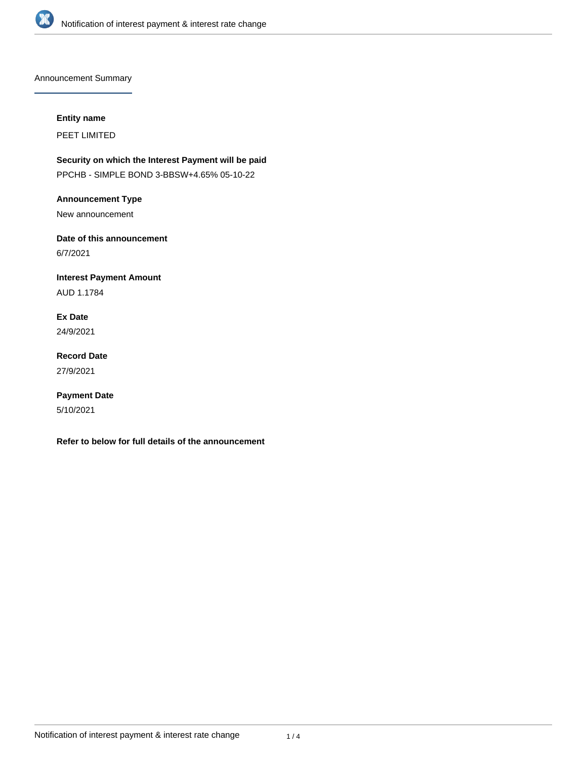

Announcement Summary

## **Entity name**

PEET LIMITED

**Security on which the Interest Payment will be paid** PPCHB - SIMPLE BOND 3-BBSW+4.65% 05-10-22

**Announcement Type**

New announcement

**Date of this announcement** 6/7/2021

**Interest Payment Amount** AUD 1.1784

**Ex Date** 24/9/2021

**Record Date** 27/9/2021

**Payment Date** 5/10/2021

**Refer to below for full details of the announcement**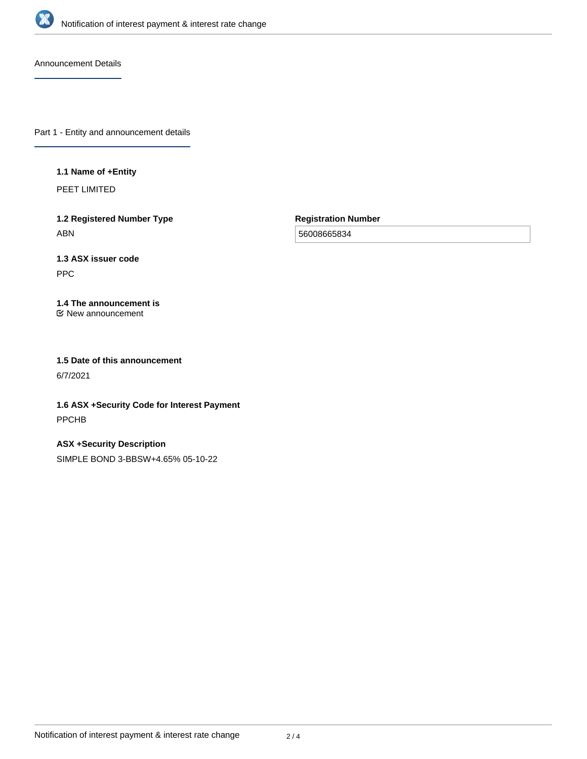

Announcement Details

Part 1 - Entity and announcement details

### **1.1 Name of +Entity**

PEET LIMITED

**1.2 Registered Number Type** ABN

**Registration Number**

56008665834

# **1.3 ASX issuer code**

PPC

#### **1.4 The announcement is** New announcement

**1.5 Date of this announcement** 6/7/2021

**1.6 ASX +Security Code for Interest Payment** PPCHB

**ASX +Security Description** SIMPLE BOND 3-BBSW+4.65% 05-10-22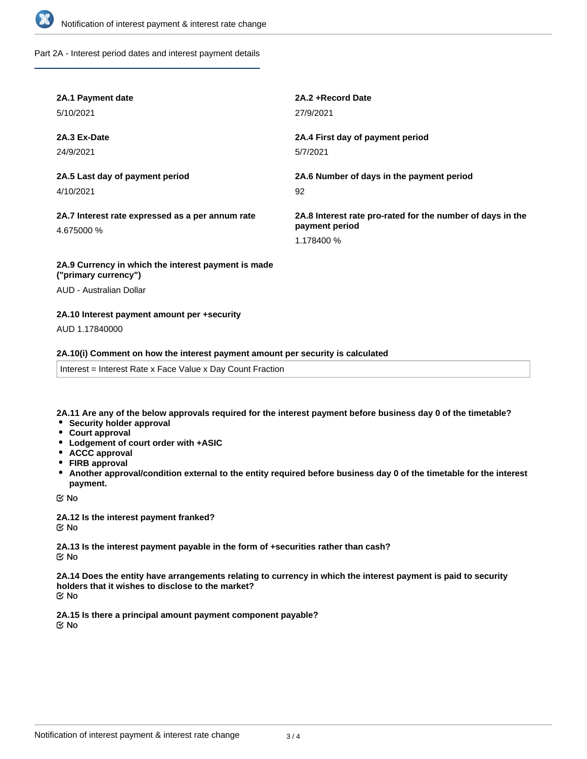

Part 2A - Interest period dates and interest payment details

| 2A.1 Payment date                                                           | 2A.2 + Record Date                                                                         |
|-----------------------------------------------------------------------------|--------------------------------------------------------------------------------------------|
| 5/10/2021                                                                   | 27/9/2021                                                                                  |
| 2A.3 Ex-Date                                                                | 2A.4 First day of payment period                                                           |
| 24/9/2021                                                                   | 5/7/2021                                                                                   |
| 2A.5 Last day of payment period                                             | 2A.6 Number of days in the payment period                                                  |
| 4/10/2021                                                                   | 92                                                                                         |
| 2A.7 Interest rate expressed as a per annum rate<br>4.675000 %              | 2A.8 Interest rate pro-rated for the number of days in the<br>payment period<br>1.178400 % |
| 2A.9 Currency in which the interest payment is made<br>("primary currency") |                                                                                            |

AUD - Australian Dollar

## **2A.10 Interest payment amount per +security**

AUD 1.17840000

#### **2A.10(i) Comment on how the interest payment amount per security is calculated**

Interest = Interest Rate x Face Value x Day Count Fraction

**2A.11 Are any of the below approvals required for the interest payment before business day 0 of the timetable?**

- **•** Security holder approval
- **Court approval**
- **Lodgement of court order with +ASIC**
- **ACCC approval**
- **FIRB approval**
- **Another approval/condition external to the entity required before business day 0 of the timetable for the interest payment.**

No

**2A.12 Is the interest payment franked?** No

**2A.13 Is the interest payment payable in the form of +securities rather than cash?** No

**2A.14 Does the entity have arrangements relating to currency in which the interest payment is paid to security holders that it wishes to disclose to the market?** No

**2A.15 Is there a principal amount payment component payable?** No